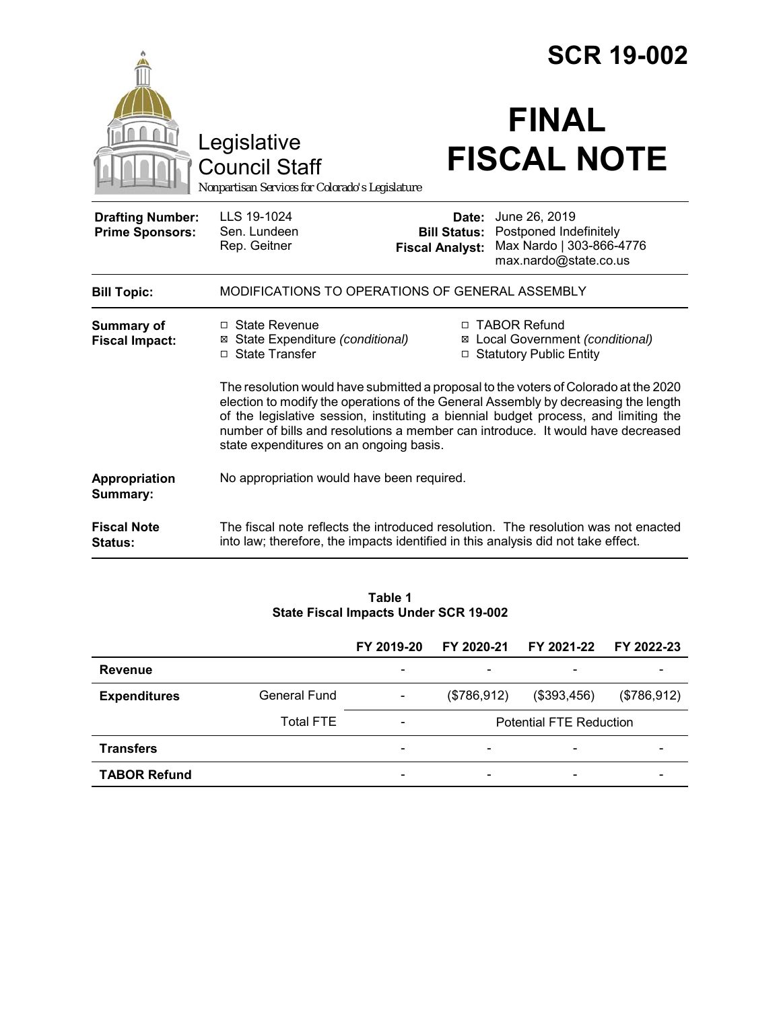|                                                   |                                                                                                                                                                                                                                                                                                                                                                                                 | <b>SCR 19-002</b>                                      |                                                                                              |  |  |
|---------------------------------------------------|-------------------------------------------------------------------------------------------------------------------------------------------------------------------------------------------------------------------------------------------------------------------------------------------------------------------------------------------------------------------------------------------------|--------------------------------------------------------|----------------------------------------------------------------------------------------------|--|--|
|                                                   | Legislative<br><b>Council Staff</b><br>Nonpartisan Services for Colorado's Legislature                                                                                                                                                                                                                                                                                                          |                                                        | <b>FINAL</b><br><b>FISCAL NOTE</b>                                                           |  |  |
| <b>Drafting Number:</b><br><b>Prime Sponsors:</b> | LLS 19-1024<br>Sen. Lundeen<br>Rep. Geitner                                                                                                                                                                                                                                                                                                                                                     | Date:<br><b>Bill Status:</b><br><b>Fiscal Analyst:</b> | June 26, 2019<br>Postponed Indefinitely<br>Max Nardo   303-866-4776<br>max.nardo@state.co.us |  |  |
| <b>Bill Topic:</b>                                | MODIFICATIONS TO OPERATIONS OF GENERAL ASSEMBLY                                                                                                                                                                                                                                                                                                                                                 |                                                        |                                                                                              |  |  |
| <b>Summary of</b><br><b>Fiscal Impact:</b>        | $\Box$ State Revenue<br>⊠ State Expenditure (conditional)<br>□ State Transfer                                                                                                                                                                                                                                                                                                                   |                                                        | □ TABOR Refund<br>⊠ Local Government (conditional)<br>□ Statutory Public Entity              |  |  |
|                                                   | The resolution would have submitted a proposal to the voters of Colorado at the 2020<br>election to modify the operations of the General Assembly by decreasing the length<br>of the legislative session, instituting a biennial budget process, and limiting the<br>number of bills and resolutions a member can introduce. It would have decreased<br>state expenditures on an ongoing basis. |                                                        |                                                                                              |  |  |
| Appropriation<br>Summary:                         | No appropriation would have been required.                                                                                                                                                                                                                                                                                                                                                      |                                                        |                                                                                              |  |  |
| <b>Fiscal Note</b><br>Status:                     | into law; therefore, the impacts identified in this analysis did not take effect.                                                                                                                                                                                                                                                                                                               |                                                        | The fiscal note reflects the introduced resolution. The resolution was not enacted           |  |  |
|                                                   |                                                                                                                                                                                                                                                                                                                                                                                                 |                                                        |                                                                                              |  |  |

#### **Table 1 State Fiscal Impacts Under SCR 19-002**

|                     |                  | FY 2019-20               | FY 2020-21                     | FY 2021-22               | FY 2022-23  |
|---------------------|------------------|--------------------------|--------------------------------|--------------------------|-------------|
| <b>Revenue</b>      |                  | $\overline{\phantom{0}}$ |                                | $\overline{\phantom{a}}$ |             |
| <b>Expenditures</b> | General Fund     | $\overline{\phantom{a}}$ | (\$786,912)                    | (\$393,456)              | (\$786,912) |
|                     | <b>Total FTE</b> | $\overline{\phantom{0}}$ | <b>Potential FTE Reduction</b> |                          |             |
| <b>Transfers</b>    |                  | -                        |                                | $\overline{\phantom{a}}$ |             |
| <b>TABOR Refund</b> |                  | $\overline{\phantom{0}}$ | $\overline{\phantom{0}}$       | $\overline{\phantom{a}}$ |             |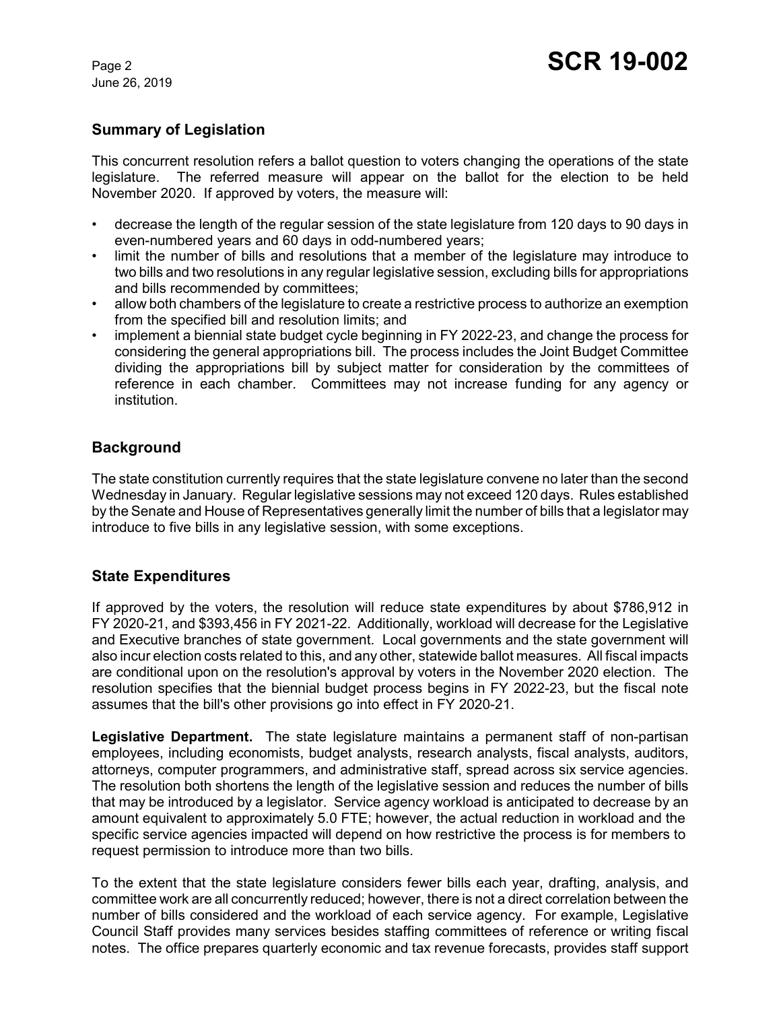June 26, 2019

# **Summary of Legislation**

This concurrent resolution refers a ballot question to voters changing the operations of the state legislature. The referred measure will appear on the ballot for the election to be held November 2020. If approved by voters, the measure will:

- decrease the length of the regular session of the state legislature from 120 days to 90 days in even-numbered years and 60 days in odd-numbered years;
- limit the number of bills and resolutions that a member of the legislature may introduce to two bills and two resolutions in any regular legislative session, excluding bills for appropriations and bills recommended by committees;
- allow both chambers of the legislature to create a restrictive process to authorize an exemption from the specified bill and resolution limits; and
- implement a biennial state budget cycle beginning in FY 2022-23, and change the process for considering the general appropriations bill. The process includes the Joint Budget Committee dividing the appropriations bill by subject matter for consideration by the committees of reference in each chamber. Committees may not increase funding for any agency or institution.

# **Background**

The state constitution currently requires that the state legislature convene no later than the second Wednesday in January. Regular legislative sessions may not exceed 120 days. Rules established by the Senate and House of Representatives generally limit the number of bills that a legislator may introduce to five bills in any legislative session, with some exceptions.

# **State Expenditures**

If approved by the voters, the resolution will reduce state expenditures by about \$786,912 in FY 2020-21, and \$393,456 in FY 2021-22. Additionally, workload will decrease for the Legislative and Executive branches of state government. Local governments and the state government will also incur election costs related to this, and any other, statewide ballot measures. All fiscal impacts are conditional upon on the resolution's approval by voters in the November 2020 election. The resolution specifies that the biennial budget process begins in FY 2022-23, but the fiscal note assumes that the bill's other provisions go into effect in FY 2020-21.

**Legislative Department.** The state legislature maintains a permanent staff of non-partisan employees, including economists, budget analysts, research analysts, fiscal analysts, auditors, attorneys, computer programmers, and administrative staff, spread across six service agencies. The resolution both shortens the length of the legislative session and reduces the number of bills that may be introduced by a legislator. Service agency workload is anticipated to decrease by an amount equivalent to approximately 5.0 FTE; however, the actual reduction in workload and the specific service agencies impacted will depend on how restrictive the process is for members to request permission to introduce more than two bills.

To the extent that the state legislature considers fewer bills each year, drafting, analysis, and committee work are all concurrently reduced; however, there is not a direct correlation between the number of bills considered and the workload of each service agency. For example, Legislative Council Staff provides many services besides staffing committees of reference or writing fiscal notes. The office prepares quarterly economic and tax revenue forecasts, provides staff support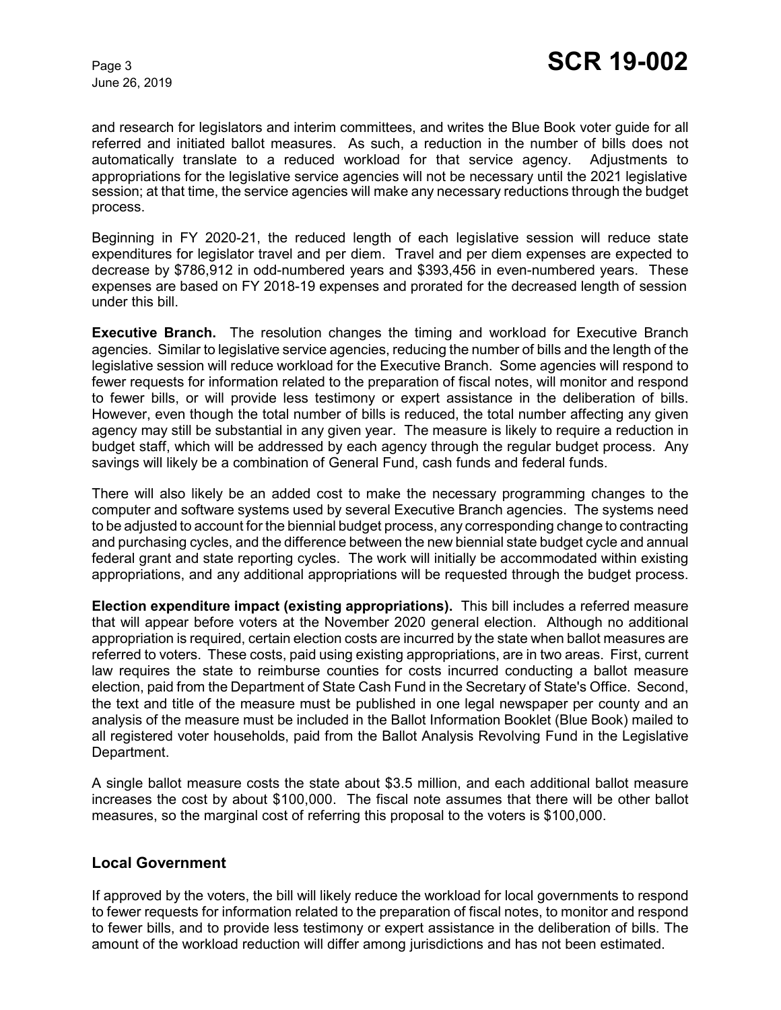June 26, 2019

and research for legislators and interim committees, and writes the Blue Book voter guide for all referred and initiated ballot measures. As such, a reduction in the number of bills does not automatically translate to a reduced workload for that service agency. Adjustments to appropriations for the legislative service agencies will not be necessary until the 2021 legislative session; at that time, the service agencies will make any necessary reductions through the budget process.

Beginning in FY 2020-21, the reduced length of each legislative session will reduce state expenditures for legislator travel and per diem. Travel and per diem expenses are expected to decrease by \$786,912 in odd-numbered years and \$393,456 in even-numbered years. These expenses are based on FY 2018-19 expenses and prorated for the decreased length of session under this bill.

**Executive Branch.** The resolution changes the timing and workload for Executive Branch agencies. Similar to legislative service agencies, reducing the number of bills and the length of the legislative session will reduce workload for the Executive Branch. Some agencies will respond to fewer requests for information related to the preparation of fiscal notes, will monitor and respond to fewer bills, or will provide less testimony or expert assistance in the deliberation of bills. However, even though the total number of bills is reduced, the total number affecting any given agency may still be substantial in any given year. The measure is likely to require a reduction in budget staff, which will be addressed by each agency through the regular budget process. Any savings will likely be a combination of General Fund, cash funds and federal funds.

There will also likely be an added cost to make the necessary programming changes to the computer and software systems used by several Executive Branch agencies. The systems need to be adjusted to account for the biennial budget process, any corresponding change to contracting and purchasing cycles, and the difference between the new biennial state budget cycle and annual federal grant and state reporting cycles. The work will initially be accommodated within existing appropriations, and any additional appropriations will be requested through the budget process.

**Election expenditure impact (existing appropriations).** This bill includes a referred measure that will appear before voters at the November 2020 general election. Although no additional appropriation is required, certain election costs are incurred by the state when ballot measures are referred to voters. These costs, paid using existing appropriations, are in two areas. First, current law requires the state to reimburse counties for costs incurred conducting a ballot measure election, paid from the Department of State Cash Fund in the Secretary of State's Office. Second, the text and title of the measure must be published in one legal newspaper per county and an analysis of the measure must be included in the Ballot Information Booklet (Blue Book) mailed to all registered voter households, paid from the Ballot Analysis Revolving Fund in the Legislative Department.

A single ballot measure costs the state about \$3.5 million, and each additional ballot measure increases the cost by about \$100,000. The fiscal note assumes that there will be other ballot measures, so the marginal cost of referring this proposal to the voters is \$100,000.

#### **Local Government**

If approved by the voters, the bill will likely reduce the workload for local governments to respond to fewer requests for information related to the preparation of fiscal notes, to monitor and respond to fewer bills, and to provide less testimony or expert assistance in the deliberation of bills. The amount of the workload reduction will differ among jurisdictions and has not been estimated.